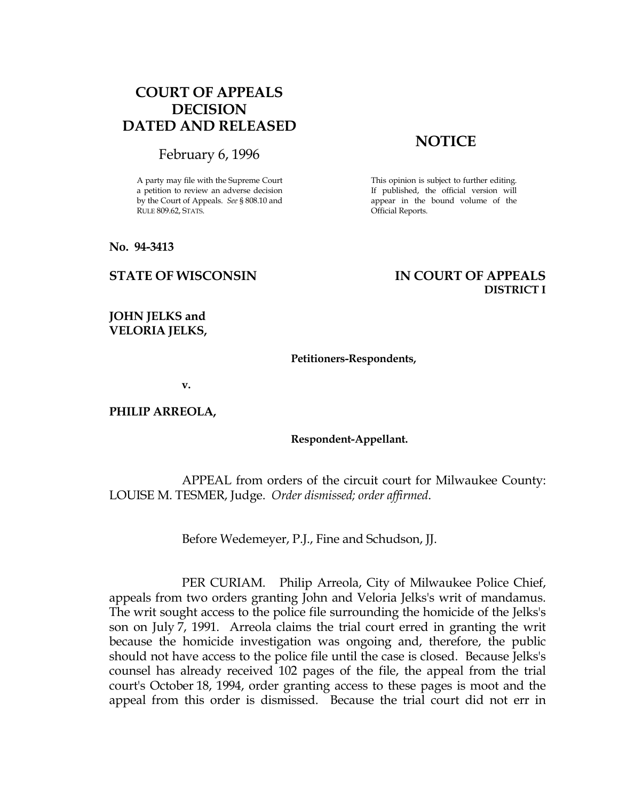# COURT OF APPEALS DECISION DATED AND RELEASED

## February 6, 1996

A party may file with the Supreme Court a petition to review an adverse decision by the Court of Appeals. See § 808.10 and RULE 809.62, STATS.

No. 94-3413

# **NOTICE**

This opinion is subject to further editing. If published, the official version will appear in the bound volume of the Official Reports.

## STATE OF WISCONSIN IN COURT OF APPEALS DISTRICT I

## JOHN JELKS and VELORIA JELKS,

#### Petitioners-Respondents,

v.

PHILIP ARREOLA,

### Respondent-Appellant.

 APPEAL from orders of the circuit court for Milwaukee County: LOUISE M. TESMER, Judge. Order dismissed; order affirmed.

Before Wedemeyer, P.J., Fine and Schudson, JJ.

 PER CURIAM. Philip Arreola, City of Milwaukee Police Chief, appeals from two orders granting John and Veloria Jelks's writ of mandamus. The writ sought access to the police file surrounding the homicide of the Jelks's son on July 7, 1991. Arreola claims the trial court erred in granting the writ because the homicide investigation was ongoing and, therefore, the public should not have access to the police file until the case is closed. Because Jelks's counsel has already received 102 pages of the file, the appeal from the trial court's October 18, 1994, order granting access to these pages is moot and the appeal from this order is dismissed. Because the trial court did not err in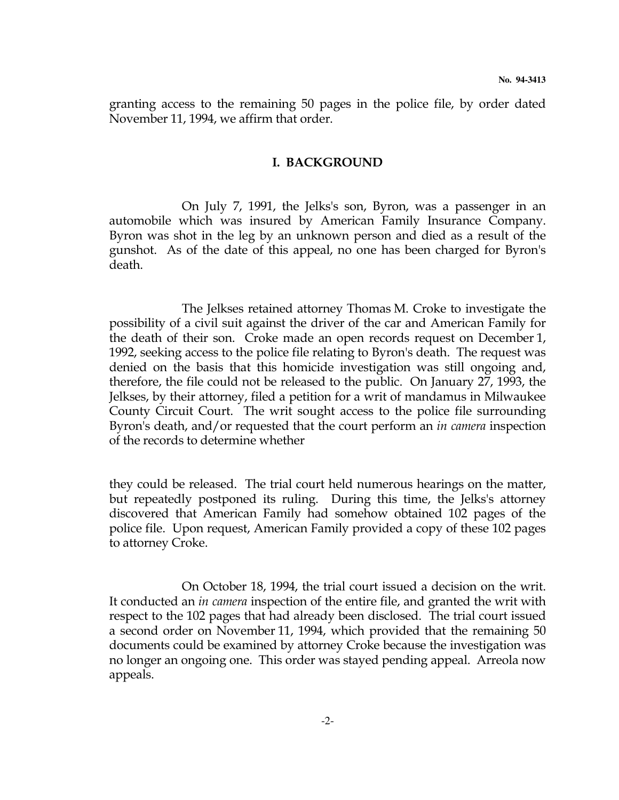granting access to the remaining 50 pages in the police file, by order dated November 11, 1994, we affirm that order.

## I. BACKGROUND

 On July 7, 1991, the Jelks's son, Byron, was a passenger in an automobile which was insured by American Family Insurance Company. Byron was shot in the leg by an unknown person and died as a result of the gunshot. As of the date of this appeal, no one has been charged for Byron's death.

 The Jelkses retained attorney Thomas M. Croke to investigate the possibility of a civil suit against the driver of the car and American Family for the death of their son. Croke made an open records request on December 1, 1992, seeking access to the police file relating to Byron's death. The request was denied on the basis that this homicide investigation was still ongoing and, therefore, the file could not be released to the public. On January 27, 1993, the Jelkses, by their attorney, filed a petition for a writ of mandamus in Milwaukee County Circuit Court. The writ sought access to the police file surrounding Byron's death, and/or requested that the court perform an in camera inspection of the records to determine whether

they could be released. The trial court held numerous hearings on the matter, but repeatedly postponed its ruling. During this time, the Jelks's attorney discovered that American Family had somehow obtained 102 pages of the police file. Upon request, American Family provided a copy of these 102 pages to attorney Croke.

 On October 18, 1994, the trial court issued a decision on the writ. It conducted an in camera inspection of the entire file, and granted the writ with respect to the 102 pages that had already been disclosed. The trial court issued a second order on November 11, 1994, which provided that the remaining 50 documents could be examined by attorney Croke because the investigation was no longer an ongoing one. This order was stayed pending appeal. Arreola now appeals.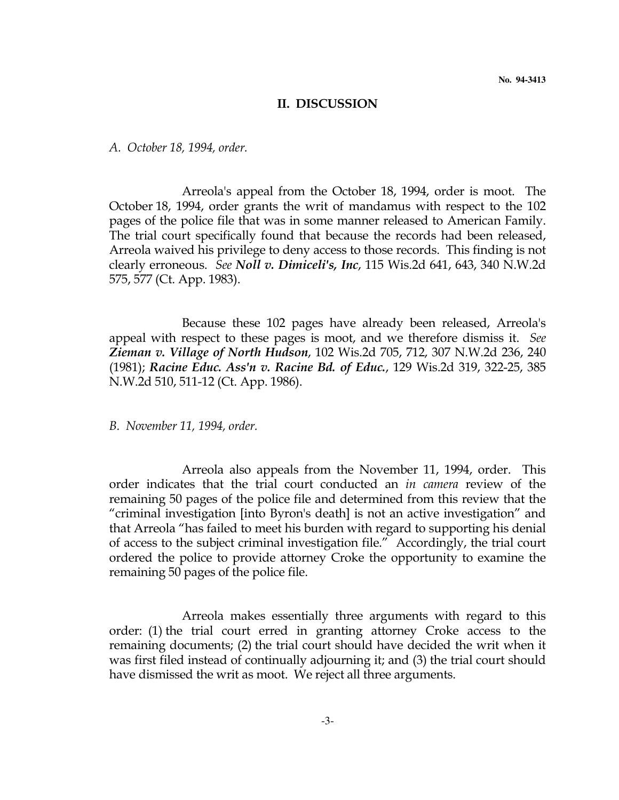#### II. DISCUSSION

A. October 18, 1994, order.

 Arreola's appeal from the October 18, 1994, order is moot. The October 18, 1994, order grants the writ of mandamus with respect to the 102 pages of the police file that was in some manner released to American Family. The trial court specifically found that because the records had been released, Arreola waived his privilege to deny access to those records. This finding is not clearly erroneous. See Noll v. Dimiceli's, Inc, 115 Wis.2d 641, 643, 340 N.W.2d 575, 577 (Ct. App. 1983).

 Because these 102 pages have already been released, Arreola's appeal with respect to these pages is moot, and we therefore dismiss it. See Zieman v. Village of North Hudson, 102 Wis.2d 705, 712, 307 N.W.2d 236, 240 (1981); Racine Educ. Ass'n v. Racine Bd. of Educ., 129 Wis.2d 319, 322-25, 385 N.W.2d 510, 511-12 (Ct. App. 1986).

B. November 11, 1994, order.

 Arreola also appeals from the November 11, 1994, order. This order indicates that the trial court conducted an in camera review of the remaining 50 pages of the police file and determined from this review that the "criminal investigation [into Byron's death] is not an active investigation" and that Arreola "has failed to meet his burden with regard to supporting his denial of access to the subject criminal investigation file." Accordingly, the trial court ordered the police to provide attorney Croke the opportunity to examine the remaining 50 pages of the police file.

 Arreola makes essentially three arguments with regard to this order: (1) the trial court erred in granting attorney Croke access to the remaining documents; (2) the trial court should have decided the writ when it was first filed instead of continually adjourning it; and (3) the trial court should have dismissed the writ as moot. We reject all three arguments.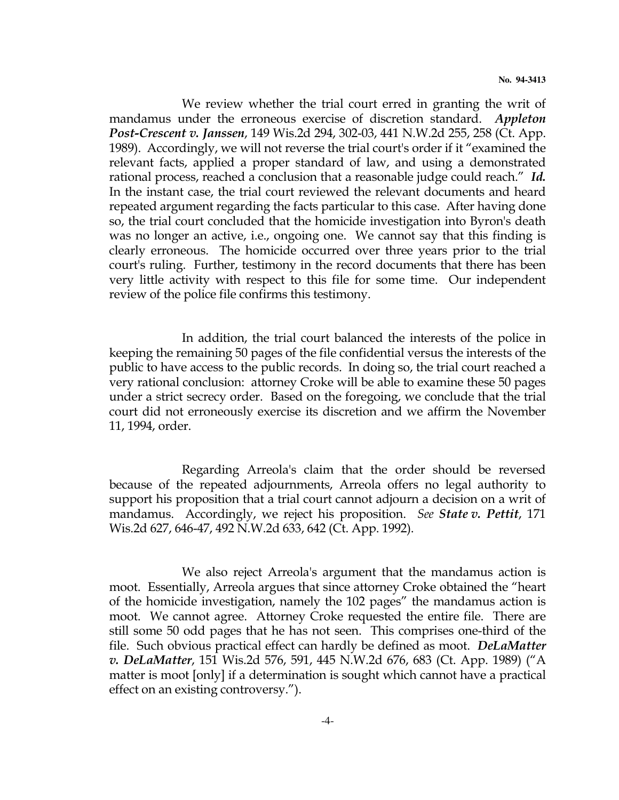We review whether the trial court erred in granting the writ of mandamus under the erroneous exercise of discretion standard. Appleton Post-Crescent v. Janssen, 149 Wis.2d 294, 302-03, 441 N.W.2d 255, 258 (Ct. App. 1989). Accordingly, we will not reverse the trial court's order if it "examined the relevant facts, applied a proper standard of law, and using a demonstrated rational process, reached a conclusion that a reasonable judge could reach." Id. In the instant case, the trial court reviewed the relevant documents and heard repeated argument regarding the facts particular to this case. After having done so, the trial court concluded that the homicide investigation into Byron's death was no longer an active, i.e., ongoing one. We cannot say that this finding is clearly erroneous. The homicide occurred over three years prior to the trial court's ruling. Further, testimony in the record documents that there has been very little activity with respect to this file for some time. Our independent review of the police file confirms this testimony.

 In addition, the trial court balanced the interests of the police in keeping the remaining 50 pages of the file confidential versus the interests of the public to have access to the public records. In doing so, the trial court reached a very rational conclusion: attorney Croke will be able to examine these 50 pages under a strict secrecy order. Based on the foregoing, we conclude that the trial court did not erroneously exercise its discretion and we affirm the November 11, 1994, order.

 Regarding Arreola's claim that the order should be reversed because of the repeated adjournments, Arreola offers no legal authority to support his proposition that a trial court cannot adjourn a decision on a writ of mandamus. Accordingly, we reject his proposition. See State v. Pettit, 171 Wis.2d 627, 646-47, 492 N.W.2d 633, 642 (Ct. App. 1992).

 We also reject Arreola's argument that the mandamus action is moot. Essentially, Arreola argues that since attorney Croke obtained the "heart of the homicide investigation, namely the 102 pages" the mandamus action is moot. We cannot agree. Attorney Croke requested the entire file. There are still some 50 odd pages that he has not seen. This comprises one-third of the file. Such obvious practical effect can hardly be defined as moot. DeLaMatter v. DeLaMatter, 151 Wis.2d 576, 591, 445 N.W.2d 676, 683 (Ct. App. 1989) ("A matter is moot [only] if a determination is sought which cannot have a practical effect on an existing controversy.").